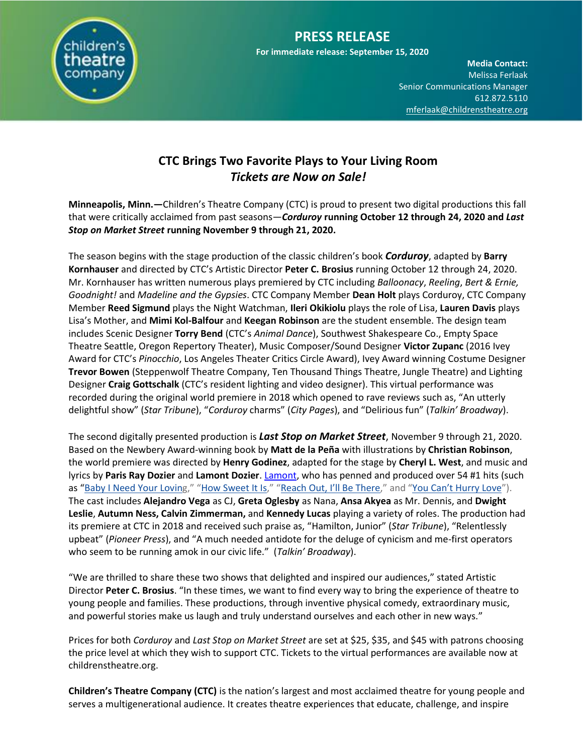

# **PRESS RELEASE**

**For immediate release: September 15, 2020**

**Media Contact:**  Melissa Ferlaak Senior Communications Manager 612.872.5110 [mferlaak@childrenstheatre.org](mailto:mferlaak@childrenstheatre.org)

## **CTC Brings Two Favorite Plays to Your Living Room** *Tickets are Now on Sale!*

**Minneapolis, Minn.—**Children's Theatre Company (CTC) is proud to present two digital productions this fall that were critically acclaimed from past seasons—*Corduroy* **running October 12 through 24, 2020 and** *Last Stop on Market Street* **running November 9 through 21, 2020.**

The season begins with the stage production of the classic children's book *Corduroy*, adapted by **Barry Kornhauser** and directed by CTC's Artistic Director **Peter C. Brosius** running October 12 through 24, 2020. Mr. Kornhauser has written numerous plays premiered by CTC including *Balloonacy*, *Reeling*, *Bert & Ernie, Goodnight!* and *Madeline and the Gypsies*. CTC Company Member **Dean Holt** plays Corduroy, CTC Company Member **Reed Sigmund** plays the Night Watchman, **Ileri Okikiolu** plays the role of Lisa, **Lauren Davis** plays Lisa's Mother, and **Mimi Kol-Balfour** and **Keegan Robinson** are the student ensemble. The design team includes Scenic Designer **Torry Bend** (CTC's *Animal Dance*), Southwest Shakespeare Co., Empty Space Theatre Seattle, Oregon Repertory Theater), Music Composer/Sound Designer **Victor Zupanc** (2016 Ivey Award for CTC's *Pinocchio*, Los Angeles Theater Critics Circle Award), Ivey Award winning Costume Designer **Trevor Bowen** (Steppenwolf Theatre Company, Ten Thousand Things Theatre, Jungle Theatre) and Lighting Designer **Craig Gottschalk** (CTC's resident lighting and video designer). This virtual performance was recorded during the original world premiere in 2018 which opened to rave reviews such as, "An utterly delightful show" (*Star Tribune*), "*Corduroy* charms" (*City Pages*), and "Delirious fun" (*Talkin' Broadway*).

The second digitally presented production is *Last Stop on Market Street*, November 9 through 21, 2020. Based on the Newbery Award-winning book by **Matt de la Peña** with illustrations by **Christian Robinson**, the world premiere was directed by **Henry Godinez**, adapted for the stage by **Cheryl L. West**, and music and lyrics by **Paris Ray Dozier** and **Lamont Dozier**[. Lamont,](https://www.lamontdozier.com/) who has penned and produced over 54 #1 hits (such as "[Baby I Need Your Lovin](http://email.wordfly.com/click?sid=ODQ2XzQ0MzBfMTQ2MjI0XzY5OTA&l=6e6fb0d7-5a8f-e811-8416-e41f1345a486&utm_source=wordfly&utm_medium=email&utm_campaign=MKT19_OffBook_Vol19_7.24.18&utm_content=version_A&promo=)g," "[How Sweet It Is](http://email.wordfly.com/click?sid=ODQ2XzQ0MzBfMTQ2MjI0XzY5OTA&l=6f6fb0d7-5a8f-e811-8416-e41f1345a486&utm_source=wordfly&utm_medium=email&utm_campaign=MKT19_OffBook_Vol19_7.24.18&utm_content=version_A&promo=)," ["Reach Out, I'll Be There,](http://email.wordfly.com/click?sid=ODQ2XzQ0MzBfMTQ2MjI0XzY5OTA&l=706fb0d7-5a8f-e811-8416-e41f1345a486&utm_source=wordfly&utm_medium=email&utm_campaign=MKT19_OffBook_Vol19_7.24.18&utm_content=version_A&promo=)" and ["You Can't Hurry Love"](http://email.wordfly.com/click?sid=ODQ2XzQ0MzBfMTQ2MjI0XzY5OTA&l=716fb0d7-5a8f-e811-8416-e41f1345a486&utm_source=wordfly&utm_medium=email&utm_campaign=MKT19_OffBook_Vol19_7.24.18&utm_content=version_A&promo=)). The cast includes **Alejandro Vega** as CJ, **Greta Oglesby** as Nana, **Ansa Akyea** as Mr. Dennis, and **Dwight Leslie**, **Autumn Ness, Calvin Zimmerman,** and **Kennedy Lucas** playing a variety of roles. The production had its premiere at CTC in 2018 and received such praise as, "Hamilton, Junior" (*Star Tribune*), "Relentlessly upbeat" (*Pioneer Press*), and "A much needed antidote for the deluge of cynicism and me-first operators who seem to be running amok in our civic life." (*Talkin' Broadway*).

"We are thrilled to share these two shows that delighted and inspired our audiences," stated Artistic Director **Peter C. Brosius**. "In these times, we want to find every way to bring the experience of theatre to young people and families. These productions, through inventive physical comedy, extraordinary music, and powerful stories make us laugh and truly understand ourselves and each other in new ways."

Prices for both *Corduroy* and *Last Stop on Market Street* are set at \$25, \$35, and \$45 with patrons choosing the price level at which they wish to support CTC. Tickets to the virtual performances are available now at childrenstheatre.org.

**Children's Theatre Company (CTC)** is the nation's largest and most acclaimed theatre for young people and serves a multigenerational audience. It creates theatre experiences that educate, challenge, and inspire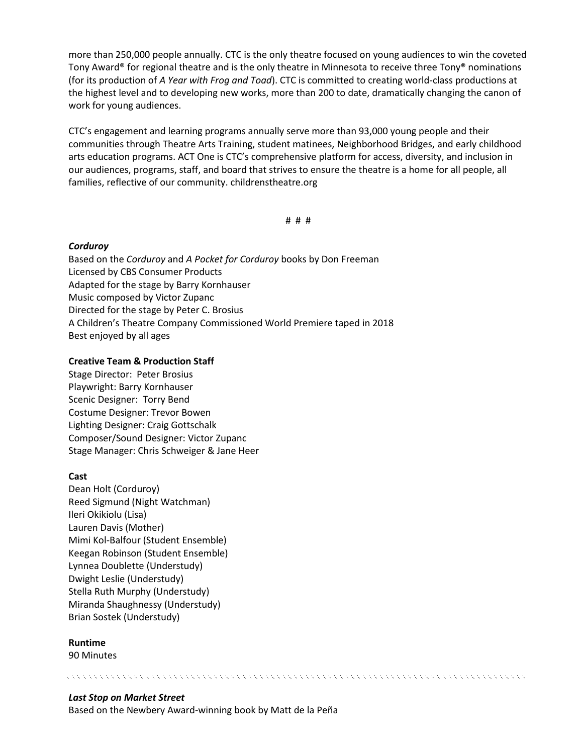more than 250,000 people annually. CTC is the only theatre focused on young audiences to win the coveted Tony Award® for regional theatre and is the only theatre in Minnesota to receive three Tony® nominations (for its production of *A Year with Frog and Toad*). CTC is committed to creating world-class productions at the highest level and to developing new works, more than 200 to date, dramatically changing the canon of work for young audiences.

CTC's engagement and learning programs annually serve more than 93,000 young people and their communities through Theatre Arts Training, student matinees, Neighborhood Bridges, and early childhood arts education programs. ACT One is CTC's comprehensive platform for access, diversity, and inclusion in our audiences, programs, staff, and board that strives to ensure the theatre is a home for all people, all families, reflective of our community. childrenstheatre.org

# # #

いっぱん アンプリング アンプリング アンプリング アンプリング アンプリング アンプリング アンプリング アンプリング アンプリング

#### *Corduroy*

Based on the *Corduroy* and *A Pocket for Corduroy* books by Don Freeman Licensed by CBS Consumer Products Adapted for the stage by Barry Kornhauser Music composed by Victor Zupanc Directed for the stage by Peter C. Brosius A Children's Theatre Company Commissioned World Premiere taped in 2018 Best enjoyed by all ages

#### **Creative Team & Production Staff**

Stage Director: Peter Brosius Playwright: Barry Kornhauser Scenic Designer: Torry Bend Costume Designer: Trevor Bowen Lighting Designer: Craig Gottschalk Composer/Sound Designer: Victor Zupanc Stage Manager: Chris Schweiger & Jane Heer

#### **Cast**

Dean Holt (Corduroy) Reed Sigmund (Night Watchman) Ileri Okikiolu (Lisa) Lauren Davis (Mother) Mimi Kol-Balfour (Student Ensemble) Keegan Robinson (Student Ensemble) Lynnea Doublette (Understudy) Dwight Leslie (Understudy) Stella Ruth Murphy (Understudy) Miranda Shaughnessy (Understudy) Brian Sostek (Understudy)

#### **Runtime**

90 Minutes

#### *Last Stop on Market Street*

Based on the Newbery Award-winning book by Matt de la Peña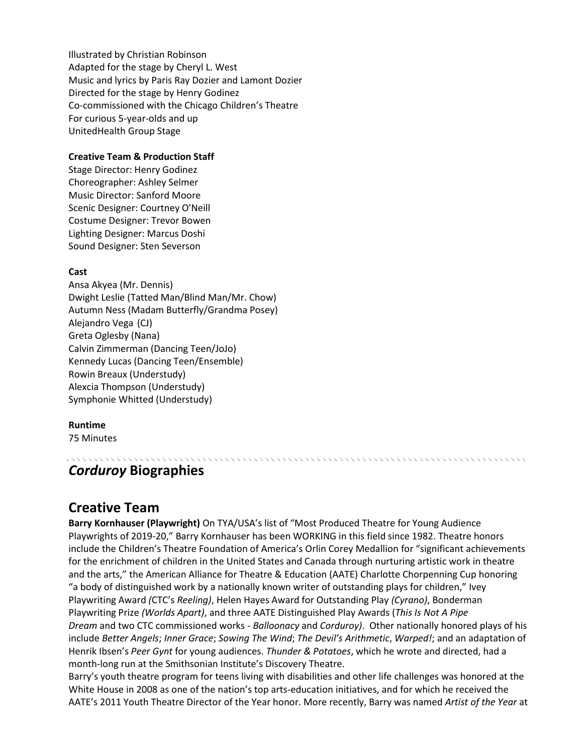Illustrated by Christian Robinson Adapted for the stage by Cheryl L. West Music and lyrics by Paris Ray Dozier and Lamont Dozier Directed for the stage by Henry Godinez Co-commissioned with the Chicago Children's Theatre For curious 5-year-olds and up UnitedHealth Group Stage

#### **Creative Team & Production Staff**

Stage Director: Henry Godinez Choreographer: Ashley Selmer Music Director: Sanford Moore Scenic Designer: Courtney O'Neill Costume Designer: Trevor Bowen Lighting Designer: Marcus Doshi Sound Designer: Sten Severson

#### **Cast**

Ansa Akyea (Mr. Dennis) Dwight Leslie (Tatted Man/Blind Man/Mr. Chow) Autumn Ness (Madam Butterfly/Grandma Posey) Alejandro Vega (CJ) Greta Oglesby (Nana) Calvin Zimmerman (Dancing Teen/JoJo) Kennedy Lucas (Dancing Teen/Ensemble) Rowin Breaux (Understudy) Alexcia Thompson (Understudy) Symphonie Whitted (Understudy)

### **Runtime**

75 Minutes

# *Corduroy* **Biographies**

## **Creative Team**

**Barry Kornhauser (Playwright)** On TYA/USA's list of "Most Produced Theatre for Young Audience Playwrights of 2019-20," Barry Kornhauser has been WORKING in this field since 1982. Theatre honors include the Children's Theatre Foundation of America's Orlin Corey Medallion for "significant achievements for the enrichment of children in the United States and Canada through nurturing artistic work in theatre and the arts," the American Alliance for Theatre & Education (AATE) Charlotte Chorpenning Cup honoring "a body of distinguished work by a nationally known writer of outstanding plays for children," Ivey Playwriting Award *(*CTC's *Reeling)*, Helen Hayes Award for Outstanding Play *(Cyrano)*, Bonderman Playwriting Prize *(Worlds Apart)*, and three AATE Distinguished Play Awards (*This Is Not A Pipe Dream* and two CTC commissioned works - *Balloonacy* and *Corduroy)*. Other nationally honored plays of his include *Better Angels*; *Inner Grace*; *Sowing The Wind*; *The Devil's Arithmetic*, *Warped!*; and an adaptation of Henrik Ibsen's *Peer Gynt* for young audiences. *Thunder & Potatoes*, which he wrote and directed, had a month-long run at the Smithsonian Institute's Discovery Theatre.

a de la caractería de la caractería de la caractería de la caractería de la caractería de la caractería de la

Barry's youth theatre program for teens living with disabilities and other life challenges was honored at the White House in 2008 as one of the nation's top arts-education initiatives, and for which he received the AATE's 2011 Youth Theatre Director of the Year honor. More recently, Barry was named *Artist of the Year* at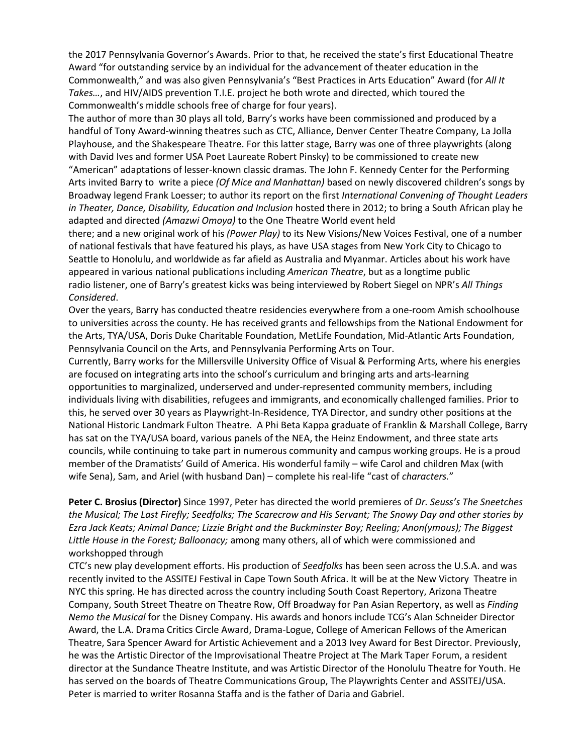the 2017 Pennsylvania Governor's Awards. Prior to that, he received the state's first Educational Theatre Award "for outstanding service by an individual for the advancement of theater education in the Commonwealth," and was also given Pennsylvania's "Best Practices in Arts Education" Award (for *All It Takes…*, and HIV/AIDS prevention T.I.E. project he both wrote and directed, which toured the Commonwealth's middle schools free of charge for four years).

The author of more than 30 plays all told, Barry's works have been commissioned and produced by a handful of Tony Award-winning theatres such as CTC, Alliance, Denver Center Theatre Company, La Jolla Playhouse, and the Shakespeare Theatre. For this latter stage, Barry was one of three playwrights (along with David Ives and former USA Poet Laureate Robert Pinsky) to be commissioned to create new "American" adaptations of lesser-known classic dramas. The John F. Kennedy Center for the Performing Arts invited Barry to write a piece *(Of Mice and Manhattan)* based on newly discovered children's songs by Broadway legend Frank Loesser; to author its report on the first *International Convening of Thought Leaders in Theater, Dance, Disability, Education and Inclusion* hosted there in 2012; to bring a South African play he adapted and directed *(Amazwi Omoya)* to the One Theatre World event held

there; and a new original work of his *(Power Play)* to its New Visions/New Voices Festival, one of a number of national festivals that have featured his plays, as have USA stages from New York City to Chicago to Seattle to Honolulu, and worldwide as far afield as Australia and Myanmar. Articles about his work have appeared in various national publications including *American Theatre*, but as a longtime public radio listener, one of Barry's greatest kicks was being interviewed by Robert Siegel on NPR's *All Things Considered*.

Over the years, Barry has conducted theatre residencies everywhere from a one-room Amish schoolhouse to universities across the county. He has received grants and fellowships from the National Endowment for the Arts, TYA/USA, Doris Duke Charitable Foundation, MetLife Foundation, Mid-Atlantic Arts Foundation, Pennsylvania Council on the Arts, and Pennsylvania Performing Arts on Tour.

Currently, Barry works for the Millersville University Office of Visual & Performing Arts, where his energies are focused on integrating arts into the school's curriculum and bringing arts and arts-learning opportunities to marginalized, underserved and under-represented community members, including individuals living with disabilities, refugees and immigrants, and economically challenged families. Prior to this, he served over 30 years as Playwright-In-Residence, TYA Director, and sundry other positions at the National Historic Landmark Fulton Theatre. A Phi Beta Kappa graduate of Franklin & Marshall College, Barry has sat on the TYA/USA board, various panels of the NEA, the Heinz Endowment, and three state arts councils, while continuing to take part in numerous community and campus working groups. He is a proud member of the Dramatists' Guild of America. His wonderful family – wife Carol and children Max (with wife Sena), Sam, and Ariel (with husband Dan) – complete his real-life "cast of *characters.*"

**Peter C. Brosius (Director)** Since 1997, Peter has directed the world premieres of *Dr. Seuss's The Sneetches the Musical; The Last Firefly; Seedfolks; The Scarecrow and His Servant; The Snowy Day and other stories by Ezra Jack Keats; Animal Dance; Lizzie Bright and the Buckminster Boy; Reeling; Anon(ymous); The Biggest Little House in the Forest; Balloonacy;* among many others, all of which were commissioned and workshopped through

CTC's new play development efforts. His production of *Seedfolks* has been seen across the U.S.A. and was recently invited to the ASSITEJ Festival in Cape Town South Africa. It will be at the New Victory Theatre in NYC this spring. He has directed across the country including South Coast Repertory, Arizona Theatre Company, South Street Theatre on Theatre Row, Off Broadway for Pan Asian Repertory, as well as *Finding Nemo the Musical* for the Disney Company. His awards and honors include TCG's Alan Schneider Director Award, the L.A. Drama Critics Circle Award, Drama-Logue, College of American Fellows of the American Theatre, Sara Spencer Award for Artistic Achievement and a 2013 Ivey Award for Best Director. Previously, he was the Artistic Director of the Improvisational Theatre Project at The Mark Taper Forum, a resident director at the Sundance Theatre Institute, and was Artistic Director of the Honolulu Theatre for Youth. He has served on the boards of Theatre Communications Group, The Playwrights Center and ASSITEJ/USA. Peter is married to writer Rosanna Staffa and is the father of Daria and Gabriel.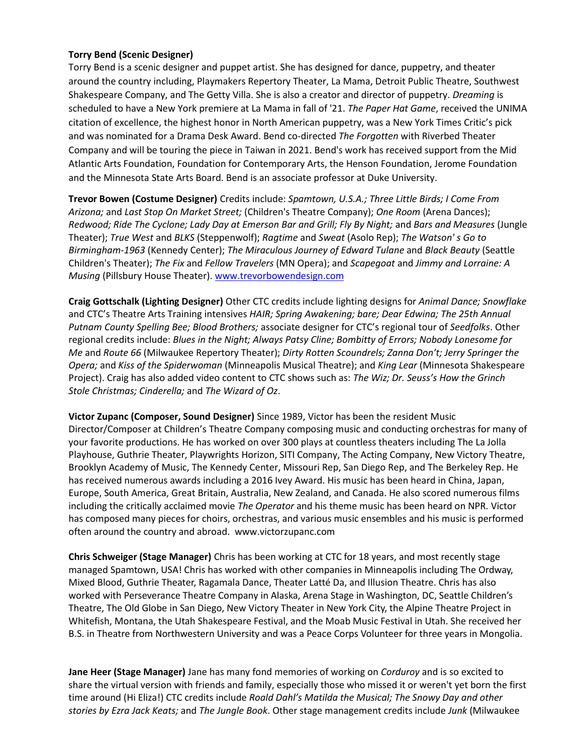#### **Torry Bend (Scenic Designer)**

Torry Bend is a scenic designer and puppet artist. She has designed for dance, puppetry, and theater around the country including, Playmakers Repertory Theater, La Mama, Detroit Public Theatre, Southwest Shakespeare Company, and The Getty Villa. She is also a creator and director of puppetry. *Dreaming* is scheduled to have a New York premiere at La Mama in fall of '21. The Paper Hat Game, received the UNIMA citation of excellence, the highest honor in North American puppetry, was a New York Times Critic's pick and was nominated for a Drama Desk Award. Bend co-directed *The Forgotten* with Riverbed Theater Company and will be touring the piece in Taiwan in 2021. Bend's work has received support from the Mid Atlantic Arts Foundation, Foundation for Contemporary Arts, the Henson Foundation, Jerome Foundation and the Minnesota State Arts Board. Bend is an associate professor at Duke University.

**Trevor Bowen (Costume Designer)** Credits include: *Spamtown, U.S.A.; Three Little Birds; I Come From Arizona;* and *Last Stop On Market Street;* (Children's Theatre Company); *One Room* (Arena Dances); *Redwood; Ride The Cyclone; Lady Day at Emerson Bar and Grill; Fly By Night;* and *Bars and Measures* (Jungle Theater); *True West* and *BLKS* (Steppenwolf); *Ragtime* and *Sweat* (Asolo Rep); *The Watson' s Go to Birmingham-1963* (Kennedy Center); *The Miraculous Journey of Edward Tulane* and *Black Beauty* (Seattle Children's Theater); *The Fix* and *Fellow Travelers* (MN Opera); and *Scapegoat* and *Jimmy and Lorraine: A Musing* (Pillsbury House Theater)[. www.trevorbowendesign.com](http://www.trevorbowendesign.com/)

**Craig Gottschalk (Lighting Designer)** Other CTC credits include lighting designs for *Animal Dance; Snowflake*  and CTC's Theatre Arts Training intensives *HAIR; Spring Awakening; bare; Dear Edwina; The 25th Annual Putnam County Spelling Bee; Blood Brothers;* associate designer for CTC's regional tour of *Seedfolks*. Other regional credits include: *Blues in the Night; Always Patsy Cline; Bombitty of Errors; Nobody Lonesome for Me* and *Route 66* (Milwaukee Repertory Theater); *Dirty Rotten Scoundrels; Zanna Don't; Jerry Springer the Opera;* and *Kiss of the Spiderwoman* (Minneapolis Musical Theatre); and *King Lear* (Minnesota Shakespeare Project). Craig has also added video content to CTC shows such as: *The Wiz; Dr. Seuss's How the Grinch Stole Christmas; Cinderella;* and *The Wizard of Oz*.

**Victor Zupanc (Composer, Sound Designer)** Since 1989, Victor has been the resident Music Director/Composer at Children's Theatre Company composing music and conducting orchestras for many of your favorite productions. He has worked on over 300 plays at countless theaters including The La Jolla Playhouse, Guthrie Theater, Playwrights Horizon, SITI Company, The Acting Company, New Victory Theatre, Brooklyn Academy of Music, The Kennedy Center, Missouri Rep, San Diego Rep, and The Berkeley Rep. He has received numerous awards including a 2016 Ivey Award. His music has been heard in China, Japan, Europe, South America, Great Britain, Australia, New Zealand, and Canada. He also scored numerous films including the critically acclaimed movie *The Operator* and his theme music has been heard on NPR*.* Victor has composed many pieces for choirs, orchestras, and various music ensembles and his music is performed often around the country and abroad. www.victorzupanc.com

**Chris Schweiger (Stage Manager)** Chris has been working at CTC for 18 years, and most recently stage managed Spamtown, USA! Chris has worked with other companies in Minneapolis including The Ordway, Mixed Blood, Guthrie Theater, Ragamala Dance, Theater Latté Da, and Illusion Theatre. Chris has also worked with Perseverance Theatre Company in Alaska, Arena Stage in Washington, DC, Seattle Children's Theatre, The Old Globe in San Diego, New Victory Theater in New York City, the Alpine Theatre Project in Whitefish, Montana, the Utah Shakespeare Festival, and the Moab Music Festival in Utah. She received her B.S. in Theatre from Northwestern University and was a Peace Corps Volunteer for three years in Mongolia.

**Jane Heer (Stage Manager)** Jane has many fond memories of working on *Corduroy* and is so excited to share the virtual version with friends and family, especially those who missed it or weren't yet born the first time around (Hi Eliza!) CTC credits include *Roald Dahl's Matilda the Musical; The Snowy Day and other stories by Ezra Jack Keats;* and *The Jungle Book*. Other stage management credits include *Junk* (Milwaukee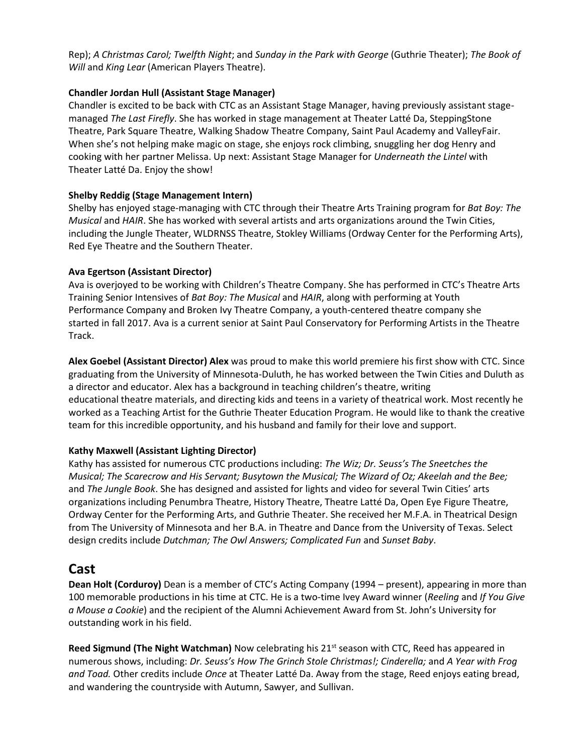Rep); *A Christmas Carol; Twelfth Night*; and *Sunday in the Park with George* (Guthrie Theater); *The Book of Will* and *King Lear* (American Players Theatre).

#### **Chandler Jordan Hull (Assistant Stage Manager)**

Chandler is excited to be back with CTC as an Assistant Stage Manager, having previously assistant stagemanaged *The Last Firefly*. She has worked in stage management at Theater Latté Da, SteppingStone Theatre, Park Square Theatre, Walking Shadow Theatre Company, Saint Paul Academy and ValleyFair. When she's not helping make magic on stage, she enjoys rock climbing, snuggling her dog Henry and cooking with her partner Melissa. Up next: Assistant Stage Manager for *Underneath the Lintel* with Theater Latté Da. Enjoy the show!

#### **Shelby Reddig (Stage Management Intern)**

Shelby has enjoyed stage-managing with CTC through their Theatre Arts Training program for *Bat Boy: The Musical* and *HAIR*. She has worked with several artists and arts organizations around the Twin Cities, including the Jungle Theater, WLDRNSS Theatre, Stokley Williams (Ordway Center for the Performing Arts), Red Eye Theatre and the Southern Theater.

#### **Ava Egertson (Assistant Director)**

Ava is overjoyed to be working with Children's Theatre Company. She has performed in CTC's Theatre Arts Training Senior Intensives of *Bat Boy: The Musical* and *HAIR*, along with performing at Youth Performance Company and Broken Ivy Theatre Company, a youth-centered theatre company she started in fall 2017. Ava is a current senior at Saint Paul Conservatory for Performing Artists in the Theatre Track.

**Alex Goebel (Assistant Director) Alex** was proud to make this world premiere his first show with CTC. Since graduating from the University of Minnesota-Duluth, he has worked between the Twin Cities and Duluth as a director and educator. Alex has a background in teaching children's theatre, writing educational theatre materials, and directing kids and teens in a variety of theatrical work. Most recently he worked as a Teaching Artist for the Guthrie Theater Education Program. He would like to thank the creative team for this incredible opportunity, and his husband and family for their love and support.

### **Kathy Maxwell (Assistant Lighting Director)**

Kathy has assisted for numerous CTC productions including: *The Wiz; Dr. Seuss's The Sneetches the Musical; The Scarecrow and His Servant; Busytown the Musical; The Wizard of Oz; Akeelah and the Bee;*  and *The Jungle Book*. She has designed and assisted for lights and video for several Twin Cities' arts organizations including Penumbra Theatre, History Theatre, Theatre Latté Da, Open Eye Figure Theatre, Ordway Center for the Performing Arts, and Guthrie Theater. She received her M.F.A. in Theatrical Design from The University of Minnesota and her B.A. in Theatre and Dance from the University of Texas. Select design credits include *Dutchman; The Owl Answers; Complicated Fun* and *Sunset Baby*.

## **Cast**

**Dean Holt (Corduroy)** Dean is a member of CTC's Acting Company (1994 – present), appearing in more than 100 memorable productions in his time at CTC. He is a two-time Ivey Award winner (*Reeling* and *If You Give a Mouse a Cookie*) and the recipient of the Alumni Achievement Award from St. John's University for outstanding work in his field.

**Reed Sigmund (The Night Watchman)** Now celebrating his 21<sup>st</sup> season with CTC, Reed has appeared in numerous shows, including: *Dr. Seuss's How The Grinch Stole Christmas!; Cinderella;* and *A Year with Frog and Toad.* Other credits include *Once* at Theater Latté Da. Away from the stage, Reed enjoys eating bread, and wandering the countryside with Autumn, Sawyer, and Sullivan.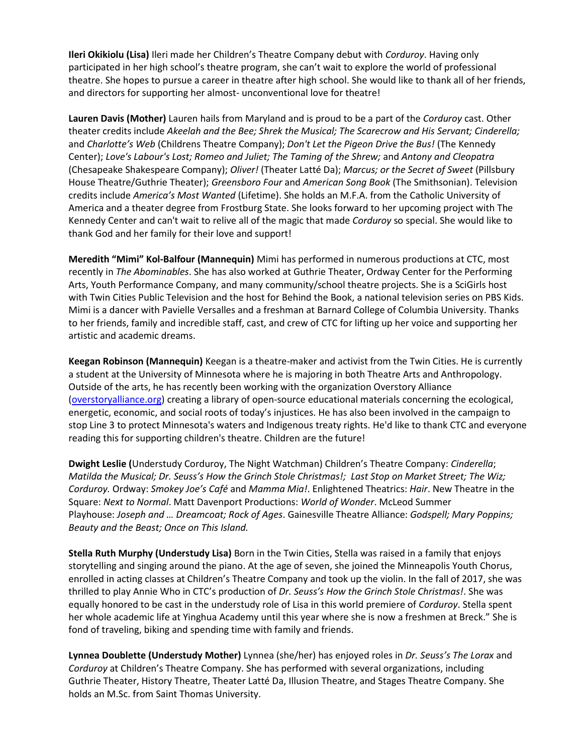**Ileri Okikiolu (Lisa)** Ileri made her Children's Theatre Company debut with *Corduroy*. Having only participated in her high school's theatre program, she can't wait to explore the world of professional theatre. She hopes to pursue a career in theatre after high school. She would like to thank all of her friends, and directors for supporting her almost- unconventional love for theatre!

**Lauren Davis (Mother)** Lauren hails from Maryland and is proud to be a part of the *Corduroy* cast. Other theater credits include *Akeelah and the Bee; Shrek the Musical; The Scarecrow and His Servant; Cinderella;* and *Charlotte's Web* (Childrens Theatre Company); *Don't Let the Pigeon Drive the Bus!* (The Kennedy Center); *Love's Labour's Lost; Romeo and Juliet; The Taming of the Shrew;* and *Antony and Cleopatra* (Chesapeake Shakespeare Company); *Oliver!* (Theater Latté Da); *Marcus; or the Secret of Sweet* (Pillsbury House Theatre/Guthrie Theater); *Greensboro Four* and *American Song Book* (The Smithsonian). Television credits include *America's Most Wanted* (Lifetime). She holds an M.F.A. from the Catholic University of America and a theater degree from Frostburg State. She looks forward to her upcoming project with The Kennedy Center and can't wait to relive all of the magic that made *Corduroy* so special. She would like to thank God and her family for their love and support!

**Meredith "Mimi" Kol-Balfour (Mannequin)** Mimi has performed in numerous productions at CTC, most recently in *The Abominables*. She has also worked at Guthrie Theater, Ordway Center for the Performing Arts, Youth Performance Company, and many community/school theatre projects. She is a SciGirls host with Twin Cities Public Television and the host for Behind the Book, a national television series on PBS Kids. Mimi is a dancer with Pavielle Versalles and a freshman at Barnard College of Columbia University. Thanks to her friends, family and incredible staff, cast, and crew of CTC for lifting up her voice and supporting her artistic and academic dreams.

**Keegan Robinson (Mannequin)** Keegan is a theatre-maker and activist from the Twin Cities. He is currently a student at the University of Minnesota where he is majoring in both Theatre Arts and Anthropology. Outside of the arts, he has recently been working with the organization Overstory Alliance [\(overstoryalliance.org\)](https://www.overstoryalliance.org/) creating a library of open-source educational materials concerning the ecological, energetic, economic, and social roots of today's injustices. He has also been involved in the campaign to stop Line 3 to protect Minnesota's waters and Indigenous treaty rights. He'd like to thank CTC and everyone reading this for supporting children's theatre. Children are the future!

**Dwight Leslie (**Understudy Corduroy, The Night Watchman) Children's Theatre Company: *Cinderella*; *Matilda the Musical; Dr. Seuss's How the Grinch Stole Christmas!; Last Stop on Market Street; The Wiz; Corduroy.* Ordway: *Smokey Joe's Café* and *Mamma Mia!*. Enlightened Theatrics: *Hair*. New Theatre in the Square: *Next to Normal*. Matt Davenport Productions: *World of Wonder*. McLeod Summer Playhouse: *Joseph and … Dreamcoat; Rock of Ages*. Gainesville Theatre Alliance: *Godspell; Mary Poppins; Beauty and the Beast; Once on This Island.*

**Stella Ruth Murphy (Understudy Lisa)** Born in the Twin Cities, Stella was raised in a family that enjoys storytelling and singing around the piano. At the age of seven, she joined the Minneapolis Youth Chorus, enrolled in acting classes at Children's Theatre Company and took up the violin. In the fall of 2017, she was thrilled to play Annie Who in CTC's production of *Dr. Seuss's How the Grinch Stole Christmas!*. She was equally honored to be cast in the understudy role of Lisa in this world premiere of *Corduroy*. Stella spent her whole academic life at Yinghua Academy until this year where she is now a freshmen at Breck." She is fond of traveling, biking and spending time with family and friends.

**Lynnea Doublette (Understudy Mother)** Lynnea (she/her) has enjoyed roles in *Dr. Seuss's The Lorax* and *Corduroy* at Children's Theatre Company. She has performed with several organizations, including Guthrie Theater, History Theatre, Theater Latté Da, Illusion Theatre, and Stages Theatre Company. She holds an M.Sc. from Saint Thomas University.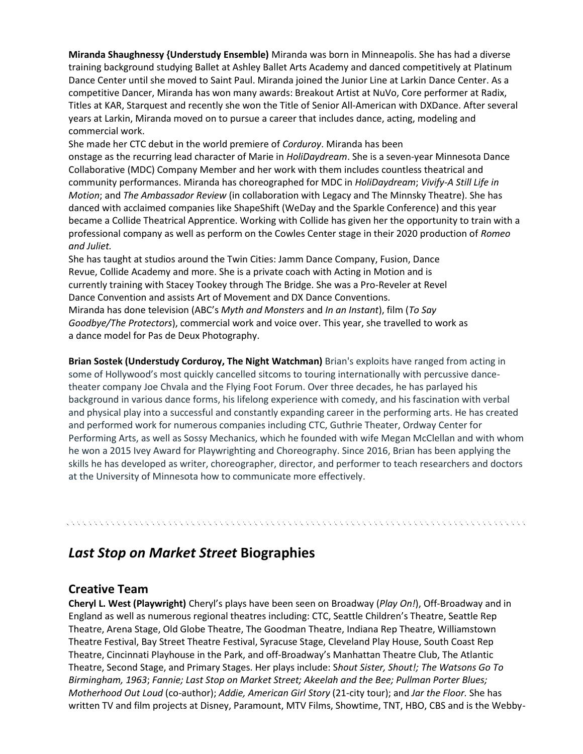**Miranda Shaughnessy {Understudy Ensemble)** Miranda was born in Minneapolis. She has had a diverse training background studying Ballet at Ashley Ballet Arts Academy and danced competitively at Platinum Dance Center until she moved to Saint Paul. Miranda joined the Junior Line at Larkin Dance Center. As a competitive Dancer, Miranda has won many awards: Breakout Artist at NuVo, Core performer at Radix, Titles at KAR, Starquest and recently she won the Title of Senior All-American with DXDance. After several years at Larkin, Miranda moved on to pursue a career that includes dance, acting, modeling and commercial work.

She made her CTC debut in the world premiere of *Corduroy*. Miranda has been onstage as the recurring lead character of Marie in *HoliDaydream*. She is a seven-year Minnesota Dance Collaborative (MDC) Company Member and her work with them includes countless theatrical and community performances. Miranda has choreographed for MDC in *HoliDaydream*; *Vivify-A Still Life in Motion*; and *The Ambassador Review* (in collaboration with Legacy and The Minnsky Theatre). She has danced with acclaimed companies like ShapeShift (WeDay and the Sparkle Conference) and this year became a Collide Theatrical Apprentice. Working with Collide has given her the opportunity to train with a professional company as well as perform on the Cowles Center stage in their 2020 production of *Romeo and Juliet.*

She has taught at studios around the Twin Cities: Jamm Dance Company, Fusion, Dance Revue, Collide Academy and more. She is a private coach with Acting in Motion and is currently training with Stacey Tookey through The Bridge. She was a Pro-Reveler at Revel Dance Convention and assists Art of Movement and DX Dance Conventions. Miranda has done television (ABC's *Myth and Monsters* and *In an Instant*), film (*To Say Goodbye/The Protectors*), commercial work and voice over. This year, she travelled to work as a dance model for Pas de Deux Photography.

**Brian Sostek (Understudy Corduroy, The Night Watchman)** Brian's exploits have ranged from acting in some of Hollywood's most quickly cancelled sitcoms to touring internationally with percussive dancetheater company Joe Chvala and the Flying Foot Forum. Over three decades, he has parlayed his background in various dance forms, his lifelong experience with comedy, and his fascination with verbal and physical play into a successful and constantly expanding career in the performing arts. He has created and performed work for numerous companies including CTC, Guthrie Theater, Ordway Center for Performing Arts, as well as Sossy Mechanics, which he founded with wife Megan McClellan and with whom he won a 2015 Ivey Award for Playwrighting and Choreography. Since 2016, Brian has been applying the skills he has developed as writer, choreographer, director, and performer to teach researchers and doctors at the University of Minnesota how to communicate more effectively.

# *Last Stop on Market Street* **Biographies**

### **Creative Team**

**Cheryl L. West (Playwright)** Cheryl's plays have been seen on Broadway (*Play On!*), Off-Broadway and in England as well as numerous regional theatres including: CTC, Seattle Children's Theatre, Seattle Rep Theatre, Arena Stage, Old Globe Theatre, The Goodman Theatre, Indiana Rep Theatre, Williamstown Theatre Festival, Bay Street Theatre Festival, Syracuse Stage, Cleveland Play House, South Coast Rep Theatre, Cincinnati Playhouse in the Park, and off‐Broadway's Manhattan Theatre Club, The Atlantic Theatre, Second Stage, and Primary Stages. Her plays include: S*hout Sister, Shout!; The Watsons Go To Birmingham, 1963*; *Fannie; Last Stop on Market Street; Akeelah and the Bee; Pullman Porter Blues; Motherhood Out Loud* (co-author); *Addie, American Girl Story* (21-city tour); and *Jar the Floor.* She has written TV and film projects at Disney, Paramount, MTV Films, Showtime, TNT, HBO, CBS and is the Webby-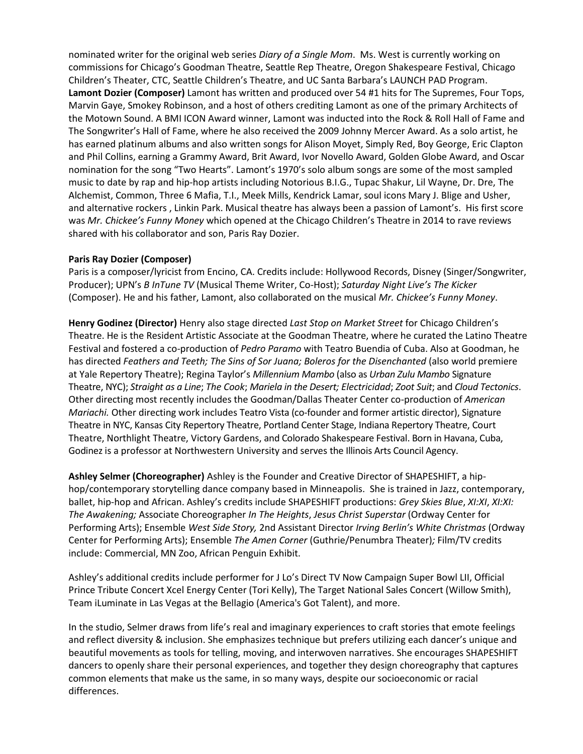**Media Contact:**  nominated writer for the original web series *Diary of a Single Mom*. Ms. West is currently working on commissions for Chicago's Goodman Theatre, Seattle Rep Theatre, Oregon Shakespeare Festival, Chicago Children's Theater, CTC, Seattle Children's Theatre, and UC Santa Barbara's LAUNCH PAD Program. Lamont Dozier (Composer) Lamont has written and produced over 54 #1 hits for The Supremes, Four Tops, Marvin Gaye, Smokey Robinson, and a host of others crediting Lamont as one of the primary Architects of the Motown Sound. A BMI ICON Award winner, Lamont was inducted into the Rock & Roll Hall of Fame and The Songwriter's Hall of Fame, where he also received the 2009 Johnny Mercer Award. As a solo artist, he has earned platinum albums and also written songs for Alison Moyet, Simply Red, Boy George, Eric Clapton and Phil Collins, earning a Grammy Award, Brit Award, Ivor Novello Award, Golden Globe Award, and Oscar nomination for the song "Two Hearts". Lamont's 1970's solo album songs are some of the most sampled music to date by rap and hip-hop artists including Notorious B.I.G., Tupac Shakur, Lil Wayne, Dr. Dre, The Alchemist, Common, Three 6 Mafia, T.I., Meek Mills, Kendrick Lamar, soul icons Mary J. Blige and Usher, and alternative rockers , Linkin Park. Musical theatre has always been a passion of Lamont's. His first score was *Mr. Chickee's Funny Money* which opened at the Chicago Children's Theatre in 2014 to rave reviews shared with his collaborator and son, Paris Ray Dozier.

#### **Paris Ray Dozier (Composer)**

Paris is a composer/lyricist from Encino, CA. Credits include: Hollywood Records, Disney (Singer/Songwriter, Producer); UPN's *B InTune TV* (Musical Theme Writer, Co-Host); *Saturday Night Live's The Kicker* (Composer). He and his father, Lamont, also collaborated on the musical *Mr. Chickee's Funny Money*.

**Henry Godinez (Director)** Henry also stage directed *Last Stop on Market Street* for Chicago Children's Theatre. He is the Resident Artistic Associate at the Goodman Theatre, where he curated the Latino Theatre Festival and fostered a co-production of *Pedro Paramo* with Teatro Buendia of Cuba. Also at Goodman, he has directed *Feathers and Teeth; The Sins of Sor Juana; Boleros for the Disenchanted* (also world premiere at Yale Repertory Theatre); Regina Taylor's *Millennium Mambo* (also as *Urban Zulu Mambo* Signature Theatre, NYC); *Straight as a Line*; *The Cook*; *Mariela in the Desert; Electricidad*; *Zoot Suit*; and *Cloud Tectonics*. Other directing most recently includes the Goodman/Dallas Theater Center co-production of *American Mariachi.* Other directing work includes Teatro Vista (co-founder and former artistic director), Signature Theatre in NYC, Kansas City Repertory Theatre, Portland Center Stage, Indiana Repertory Theatre, Court Theatre, Northlight Theatre, Victory Gardens, and Colorado Shakespeare Festival. Born in Havana, Cuba, Godinez is a professor at Northwestern University and serves the Illinois Arts Council Agency.

**Ashley Selmer (Choreographer)** Ashley is the Founder and Creative Director of SHAPESHIFT, a hiphop/contemporary storytelling dance company based in Minneapolis. She is trained in Jazz, contemporary, ballet, hip-hop and African. Ashley's credits include SHAPESHIFT productions: *Grey Skies Blue*, *XI:XI*, *XI:XI: The Awakening;* Associate Choreographer *In The Heights*, *Jesus Christ Superstar* (Ordway Center for Performing Arts); Ensemble *West Side Story,* 2nd Assistant Director *Irving Berlin's White Christmas* (Ordway Center for Performing Arts); Ensemble *The Amen Corner* (Guthrie/Penumbra Theater)*;* Film/TV credits include: Commercial, MN Zoo, African Penguin Exhibit.

Ashley's additional credits include performer for J Lo's Direct TV Now Campaign Super Bowl LII, Official Prince Tribute Concert Xcel Energy Center (Tori Kelly), The Target National Sales Concert (Willow Smith), Team iLuminate in Las Vegas at the Bellagio (America's Got Talent), and more.

In the studio, Selmer draws from life's real and imaginary experiences to craft stories that emote feelings and reflect diversity & inclusion. She emphasizes technique but prefers utilizing each dancer's unique and beautiful movements as tools for telling, moving, and interwoven narratives. She encourages SHAPESHIFT dancers to openly share their personal experiences, and together they design choreography that captures common elements that make us the same, in so many ways, despite our socioeconomic or racial differences.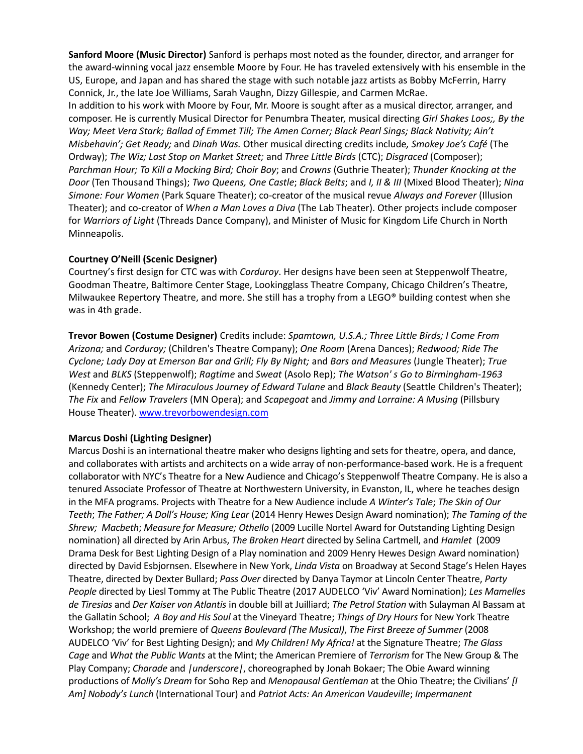**Sanford Moore (Music Director)** Sanford is perhaps most noted as the founder, director, and arranger for the award-winning vocal jazz ensemble Moore by Four. He has traveled extensively with his ensemble in the US, Europe, and Japan and has shared the stage with such notable jazz artists as Bobby McFerrin, Harry Connick, Jr., the late Joe Williams, Sarah Vaughn, Dizzy Gillespie, and Carmen McRae.

In addition to his work with Moore by Four, Mr. Moore is sought after as a musical director, arranger, and composer. He is currently Musical Director for Penumbra Theater, musical directing *Girl Shakes Loos;, By the Way; Meet Vera Stark; Ballad of Emmet Till; The Amen Corner; Black Pearl Sings; Black Nativity; Ain't Misbehavin'; Get Ready;* and *Dinah Was.* Other musical directing credits include*, Smokey Joe's Café* (The Ordway); *The Wiz; Last Stop on Market Street;* and *Three Little Birds* (CTC); *Disgraced* (Composer); *Parchman Hour; To Kill a Mocking Bird; Choir Boy*; and *Crowns* (Guthrie Theater); *Thunder Knocking at the Door* (Ten Thousand Things); *Two Queens, One Castle*; *Black Belts*; and *I, II & III* (Mixed Blood Theater); *Nina Simone: Four Women* (Park Square Theater); co‐creator of the musical revue *Always and Forever* (Illusion Theater); and co‐creator of *When a Man Loves a Diva* (The Lab Theater). Other projects include composer for *Warriors of Light* (Threads Dance Company), and Minister of Music for Kingdom Life Church in North Minneapolis.

#### **Courtney O'Neill (Scenic Designer)**

Courtney's first design for CTC was with *Corduroy*. Her designs have been seen at Steppenwolf Theatre, Goodman Theatre, Baltimore Center Stage, Lookingglass Theatre Company, Chicago Children's Theatre, Milwaukee Repertory Theatre, and more. She still has a trophy from a LEGO® building contest when she was in 4th grade.

**Trevor Bowen (Costume Designer)** Credits include: *Spamtown, U.S.A.; Three Little Birds; I Come From Arizona;* and *Corduroy;* (Children's Theatre Company); *One Room* (Arena Dances); *Redwood; Ride The Cyclone; Lady Day at Emerson Bar and Grill; Fly By Night;* and *Bars and Measures* (Jungle Theater); *True West* and *BLKS* (Steppenwolf); *Ragtime* and *Sweat* (Asolo Rep); *The Watson' s Go to Birmingham-1963*  (Kennedy Center); *The Miraculous Journey of Edward Tulane* and *Black Beauty* (Seattle Children's Theater); *The Fix* and *Fellow Travelers* (MN Opera); and *Scapegoat* and *Jimmy and Lorraine: A Musing* (Pillsbury House Theater). [www.trevorbowendesign.com](http://www.trevorbowendesign.com/)

#### **Marcus Doshi (Lighting Designer)**

Marcus Doshi is an international theatre maker who designs lighting and sets for theatre, opera, and dance, and collaborates with artists and architects on a wide array of non-performance-based work. He is a frequent collaborator with NYC's Theatre for a New Audience and Chicago's Steppenwolf Theatre Company. He is also a tenured Associate Professor of Theatre at Northwestern University, in Evanston, IL, where he teaches design in the MFA programs. Projects with Theatre for a New Audience include *A Winter's Tale*; *[The Skin of Our](http://marcusdoshi.com/project/the-skin-of-our-teeth/)  [Teeth](http://marcusdoshi.com/project/the-skin-of-our-teeth/)*; *[The Father;](http://marcusdoshi.com/project/the-father/) [A Doll's House](http://marcusdoshi.com/project/a-dolls-house/); [King Lear](http://marcusdoshi.com/project/king-lear/)* (2014 Henry Hewes Design Award nomination); *[The Taming of the](http://marcusdoshi.com/project/the-taming-of-the-shrew/)  [Shrew;](http://marcusdoshi.com/project/the-taming-of-the-shrew/) [Macbeth](http://marcusdoshi.com/project/macbeth/%20%E2%80%8E)*; *Measure for Measure[; Othello](http://marcusdoshi.com/project/othello/%20%E2%80%8E)* (2009 Lucille Nortel Award for Outstanding Lighting Design nomination) all directed by Arin Arbus, *[The Broken Heart](http://marcusdoshi.com/project/the-broken-heart/)* directed by Selina Cartmell, and *[Hamlet](http://marcusdoshi.com/project/hamlet/)* (2009 Drama Desk for Best Lighting Design of a Play nomination and 2009 Henry Hewes Design Award nomination) directed by David Esbjornsen. Elsewhere in New York, *Linda Vista* on Broadway at Second Stage's Helen Hayes Theatre, directed by Dexter Bullard; *[Pass Over](http://marcusdoshi.com/project/pass-over/)* directed by Danya Taymor at Lincoln Center Theatre, *[Party](http://marcusdoshi.com/project/party-people-public/)  [People](http://marcusdoshi.com/project/party-people-public/)* directed by Liesl Tommy at The Public Theatre (2017 AUDELCO 'Viv' Award Nomination); *[Les Mamelles](http://marcusdoshi.com/project/les-mamelles-de-tiresias/)  de [Tiresias](http://marcusdoshi.com/project/les-mamelles-de-tiresias/)* and *[Der Kaiser von Atlantis](http://marcusdoshi.com/project/der-kaiser-von-atlantis/)* in double bill at Juilliard; *The Petrol Station* with Sulayman Al Bassam at the Gallatin School; *A Boy and His Soul* at the Vineyard Theatre; *Things of Dry Hours* for New York Theatre Workshop; the world premiere of *[Queens Boulevard](http://marcusdoshi.com/project/queens-boulevard/) (The Musical)*, *The First Breeze of Summer* (2008 AUDELCO 'Viv' for Best Lighting Design); and *My Children! My Africa!* at the Signature Theatre; *[The Glass](http://marcusdoshi.com/project/the-glass-cage/)  [Cage](http://marcusdoshi.com/project/the-glass-cage/)* and *What the Public Wants* at the Mint; the American Premiere of *[Terrorism](http://marcusdoshi.com/project/terrorism/)* for The New Group & The Play Company; *Charade* and *|underscore|*, choreographed by Jonah Bokaer; The Obie Award winning productions of *Molly's Dream* for Soho Rep and *Menopausal Gentleman* at the Ohio Theatre; the Civilians' *[I Am] Nobody's Lunch* (International Tour) and *Patriot Acts: An American Vaudeville*; *Impermanent*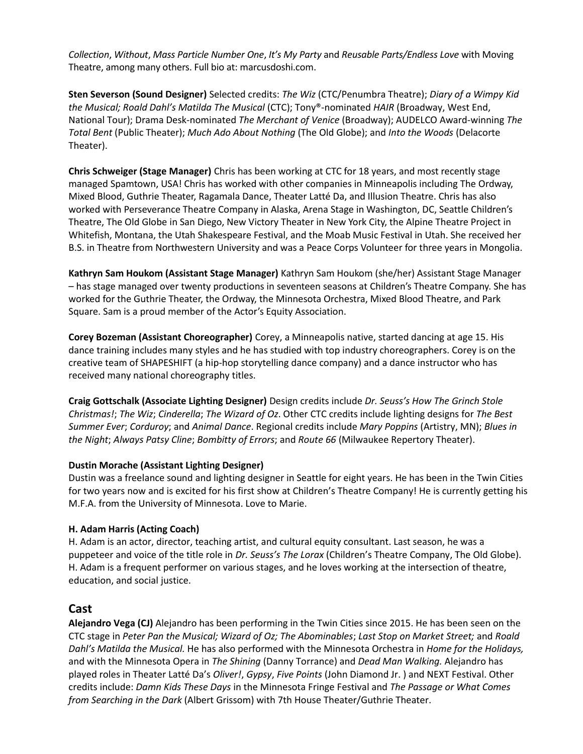**Media Contact:**  *Collection*, *Without*, *[Mass Particle Number One](http://marcusdoshi.com/project/mass-particle-number-one/)*, *It's My Party* and *[Reusable Parts/Endless Love](http://marcusdoshi.com/project/reusable-partsendless-love/)* with Moving Theatre, among many others. Full bio at: marcusdoshi.com.

**Sten Severson (Sound Designer)** Selected credits: *The Wiz* (CTC/Penumbra Theatre); *Diary of a Wimpy Kid* the Musical; Roald Dahl's Matilda The Musical (CTC); Tony®-nominated *HAIR* (Broadway, West End, National Tour); Drama Desk-nominated *The Merchant of Venice* (Broadway); AUDELCO Award-winning *The Total Bent* (Public Theater); *Much Ado About Nothing* (The Old Globe); and *Into the Woods* (Delacorte Theater).

**Chris Schweiger (Stage Manager)** Chris has been working at CTC for 18 years, and most recently stage managed Spamtown, USA! Chris has worked with other companies in Minneapolis including The Ordway, Mixed Blood, Guthrie Theater, Ragamala Dance, Theater Latté Da, and Illusion Theatre. Chris has also worked with Perseverance Theatre Company in Alaska, Arena Stage in Washington, DC, Seattle Children's Theatre, The Old Globe in San Diego, New Victory Theater in New York City, the Alpine Theatre Project in Whitefish, Montana, the Utah Shakespeare Festival, and the Moab Music Festival in Utah. She received her B.S. in Theatre from Northwestern University and was a Peace Corps Volunteer for three years in Mongolia.

**Kathryn Sam Houkom (Assistant Stage Manager)** Kathryn Sam Houkom (she/her) Assistant Stage Manager – has stage managed over twenty productions in seventeen seasons at Children's Theatre Company. She has worked for the Guthrie Theater, the Ordway, the Minnesota Orchestra, Mixed Blood Theatre, and Park Square. Sam is a proud member of the Actor's Equity Association.

**Corey Bozeman (Assistant Choreographer)** Corey, a Minneapolis native, started dancing at age 15. His dance training includes many styles and he has studied with top industry choreographers. Corey is on the creative team of SHAPESHIFT (a hip-hop storytelling dance company) and a dance instructor who has received many national choreography titles.

**Craig Gottschalk (Associate Lighting Designer)** Design credits include *Dr. Seuss's How The Grinch Stole Christmas!*; *The Wiz*; *Cinderella*; *The Wizard of Oz*. Other CTC credits include lighting designs for *The Best Summer Ever*; *Corduroy*; and *Animal Dance*. Regional credits include *Mary Poppins* (Artistry, MN); *Blues in the Night*; *Always Patsy Cline*; *Bombitty of Errors*; and *Route 66* (Milwaukee Repertory Theater).

### **Dustin Morache (Assistant Lighting Designer)**

Dustin was a freelance sound and lighting designer in Seattle for eight years. He has been in the Twin Cities for two years now and is excited for his first show at Children's Theatre Company! He is currently getting his M.F.A. from the University of Minnesota. Love to Marie.

### **H. Adam Harris (Acting Coach)**

H. Adam is an actor, director, teaching artist, and cultural equity consultant. Last season, he was a puppeteer and voice of the title role in *Dr. Seuss's The Lorax* (Children's Theatre Company, The Old Globe). H. Adam is a frequent performer on various stages, and he loves working at the intersection of theatre, education, and social justice.

### **Cast**

**Alejandro Vega (CJ)** Alejandro has been performing in the Twin Cities since 2015. He has been seen on the CTC stage in *Peter Pan the Musical; Wizard of Oz; The Abominables*; *Last Stop on Market Street;* and *Roald Dahl's Matilda the Musical.* He has also performed with the Minnesota Orchestra in *Home for the Holidays,*  and with the Minnesota Opera in *The Shining* (Danny Torrance) and *Dead Man Walking.* Alejandro has played roles in Theater Latté Da's *Oliver!*, *Gypsy*, *Five Points* (John Diamond Jr. ) and NEXT Festival. Other credits include: *Damn Kids These Days* in the Minnesota Fringe Festival and *The Passage or What Comes from Searching in the Dark* (Albert Grissom) with 7th House Theater/Guthrie Theater.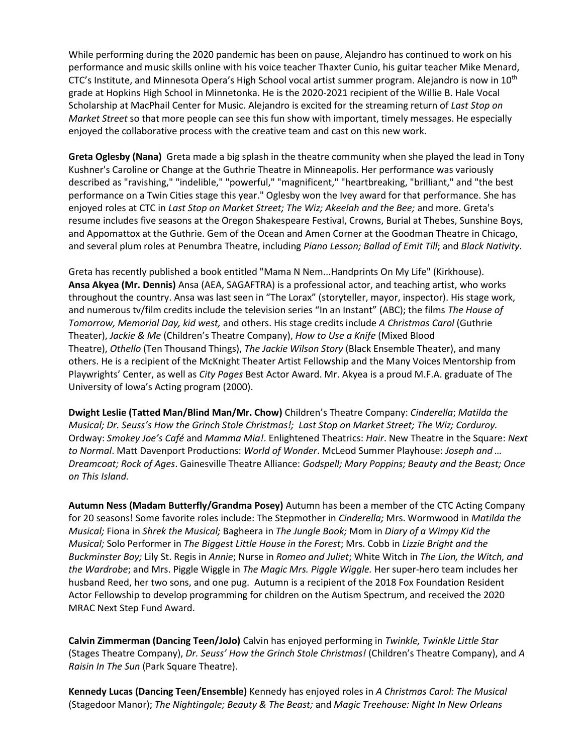While performing during the 2020 pandemic has been on pause, Alejandro has continued to work on his performance and music skills online with his voice teacher Thaxter Cunio, his guitar teacher Mike Menard, CTC's Institute, and Minnesota Opera's High School vocal artist summer program. Alejandro is now in 10<sup>th</sup> grade at Hopkins High School in Minnetonka. He is the 2020-2021 recipient of the Willie B. Hale Vocal Scholarship at MacPhail Center for Music. Alejandro is excited for the streaming return of *Last Stop on Market Street* so that more people can see this fun show with important, timely messages. He especially enjoyed the collaborative process with the creative team and cast on this new work.

**Greta Oglesby (Nana)** Greta made a big splash in the theatre community when she played the lead in Tony Kushner's Caroline or Change at the Guthrie Theatre in Minneapolis. Her performance was variously described as "ravishing," "indelible," "powerful," "magnificent," "heartbreaking, "brilliant," and "the best performance on a Twin Cities stage this year." Oglesby won the Ivey award for that performance. She has enjoyed roles at CTC in *Last Stop on Market Street; The Wiz; Akeelah and the Bee;* and more. Greta's resume includes five seasons at the Oregon Shakespeare Festival, Crowns, Burial at Thebes, Sunshine Boys, and Appomattox at the Guthrie. Gem of the Ocean and Amen Corner at the Goodman Theatre in Chicago, and several plum roles at Penumbra Theatre, including *Piano Lesson; Ballad of Emit Till*; and *Black Nativity*.

Greta has recently published a book entitled "Mama N Nem...Handprints On My Life" (Kirkhouse). **Ansa Akyea (Mr. Dennis)** Ansa (AEA, SAGAFTRA) is a professional actor, and teaching artist, who works throughout the country. Ansa was last seen in "The Lorax" (storyteller, mayor, inspector). His stage work, and numerous tv/film credits include the television series "In an Instant" (ABC); the films *The House of Tomorrow, Memorial Day, kid west,* and others. His stage credits include *A Christmas Carol* (Guthrie Theater), *Jackie & Me* (Children's Theatre Company), *How to Use a Knife* (Mixed Blood Theatre), *Othello* (Ten Thousand Things), *The Jackie Wilson Story* (Black Ensemble Theater), and many others. He is a recipient of the McKnight Theater Artist Fellowship and the Many Voices Mentorship from Playwrights' Center, as well as *City Pages* Best Actor Award. Mr. Akyea is a proud M.F.A. graduate of The University of Iowa's Acting program (2000).

**Dwight Leslie (Tatted Man/Blind Man/Mr. Chow)** Children's Theatre Company: *Cinderella*; *Matilda the Musical; Dr. Seuss's How the Grinch Stole Christmas!; Last Stop on Market Street; The Wiz; Corduroy.*  Ordway: *Smokey Joe's Café* and *Mamma Mia!*. Enlightened Theatrics: *Hair*. New Theatre in the Square: *Next to Normal*. Matt Davenport Productions: *World of Wonder*. McLeod Summer Playhouse: *Joseph and … Dreamcoat; Rock of Ages*. Gainesville Theatre Alliance: *Godspell; Mary Poppins; Beauty and the Beast; Once on This Island.*

**Autumn Ness (Madam Butterfly/Grandma Posey)** Autumn has been a member of the CTC Acting Company for 20 seasons! Some favorite roles include: The Stepmother in *Cinderella;* Mrs. Wormwood in *Matilda the Musical;* Fiona in *Shrek the Musical;* Bagheera in *The Jungle Book;* Mom in *Diary of a Wimpy Kid the Musical;* Solo Performer in *The Biggest Little House in the Forest*; Mrs. Cobb in *Lizzie Bright and the Buckminster Boy;* Lily St. Regis in *Annie*; Nurse in *Romeo and Juliet*; White Witch in *The Lion, the Witch, and the Wardrobe*; and Mrs. Piggle Wiggle in *The Magic Mrs. Piggle Wiggle.* Her super-hero team includes her husband Reed, her two sons, and one pug. Autumn is a recipient of the 2018 Fox Foundation Resident Actor Fellowship to develop programming for children on the Autism Spectrum, and received the 2020 MRAC Next Step Fund Award.

**Calvin Zimmerman (Dancing Teen/JoJo)** Calvin has enjoyed performing in *Twinkle, Twinkle Little Star*  (Stages Theatre Company), *Dr. Seuss' How the Grinch Stole Christmas!* (Children's Theatre Company), and *A Raisin In The Sun* (Park Square Theatre).

**Kennedy Lucas (Dancing Teen/Ensemble)** Kennedy has enjoyed roles in *A Christmas Carol: The Musical* (Stagedoor Manor); *The Nightingale; Beauty & The Beast;* and *Magic Treehouse: Night In New Orleans*